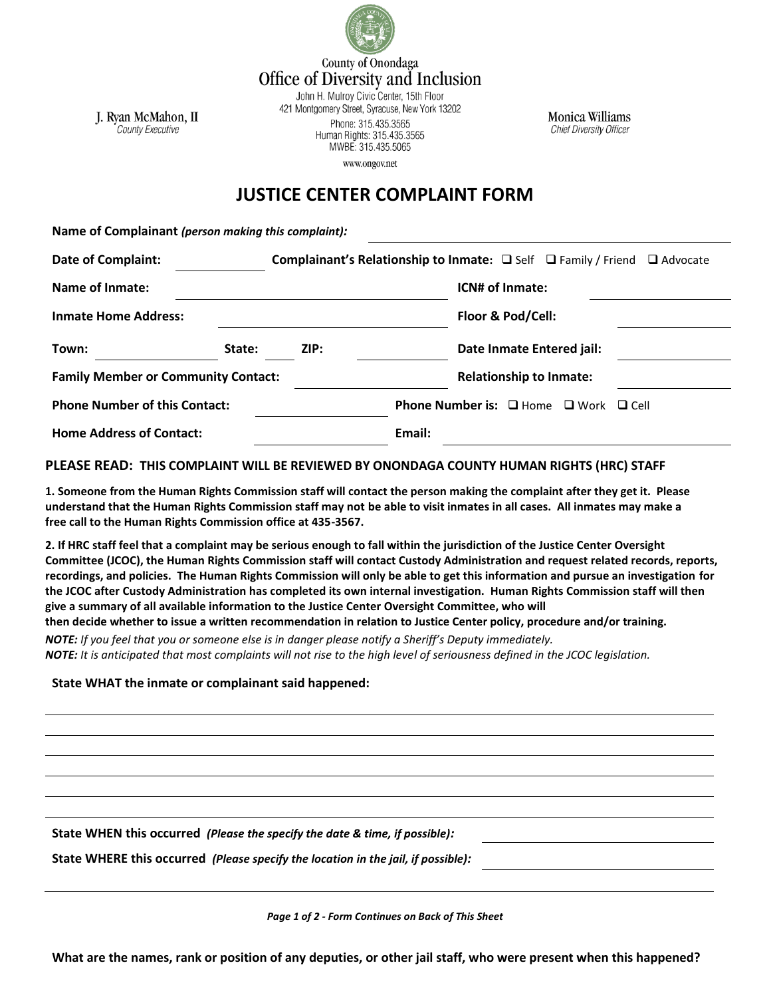

County of Onondaga Office of Diversity and Inclusion

J. Ryan McMahon, II **County Executive** 

John H. Mulroy Civic Center, 15th Floor 421 Montgomery Street, Syracuse, New York 13202 Phone: 315.435.3565 Human Rights: 315.435.3565 MWBE: 315.435.5065 www.ongov.net

**Monica Williams Chief Diversity Officer** 

## **JUSTICE CENTER COMPLAINT FORM**

**Name of Complainant** *(person making this complaint):*

| <b>Date of Complaint:</b>                  |        | Complainant's Relationship to Inmate: □ Self □ Family / Friend □ Advocate |        |                                                             |  |
|--------------------------------------------|--------|---------------------------------------------------------------------------|--------|-------------------------------------------------------------|--|
| Name of Inmate:                            |        |                                                                           |        | ICN# of Inmate:                                             |  |
| <b>Inmate Home Address:</b>                |        |                                                                           |        | Floor & Pod/Cell:                                           |  |
| Town:                                      | State: | ZIP:                                                                      |        | Date Inmate Entered jail:                                   |  |
| <b>Family Member or Community Contact:</b> |        |                                                                           |        | <b>Relationship to Inmate:</b>                              |  |
| <b>Phone Number of this Contact:</b>       |        |                                                                           |        | <b>Phone Number is:</b> $\Box$ Home $\Box$ Work $\Box$ Cell |  |
| <b>Home Address of Contact:</b>            |        |                                                                           | Email: |                                                             |  |

## **PLEASE READ: THIS COMPLAINT WILL BE REVIEWED BY ONONDAGA COUNTY HUMAN RIGHTS (HRC) STAFF**

**1. Someone from the Human Rights Commission staff will contact the person making the complaint after they get it. Please understand that the Human Rights Commission staff may not be able to visit inmates in all cases. All inmates may make a free call to the Human Rights Commission office at 435-3567.**

**2. If HRC staff feel that a complaint may be serious enough to fall within the jurisdiction of the Justice Center Oversight Committee (JCOC), the Human Rights Commission staff will contact Custody Administration and request related records, reports, recordings, and policies. The Human Rights Commission will only be able to get this information and pursue an investigation for the JCOC after Custody Administration has completed its own internal investigation. Human Rights Commission staff will then give a summary of all available information to the Justice Center Oversight Committee, who will then decide whether to issue a written recommendation in relation to Justice Center policy, procedure and/or training.** 

*NOTE: If you feel that you or someone else is in danger please notify a Sheriff's Deputy immediately. NOTE: It is anticipated that most complaints will not rise to the high level of seriousness defined in the JCOC legislation.* 

## **State WHAT the inmate or complainant said happened:**

**State WHEN this occurred** *(Please the specify the date & time, if possible):*

**State WHERE this occurred** *(Please specify the location in the jail, if possible):*

*Page 1 of 2 - Form Continues on Back of This Sheet*